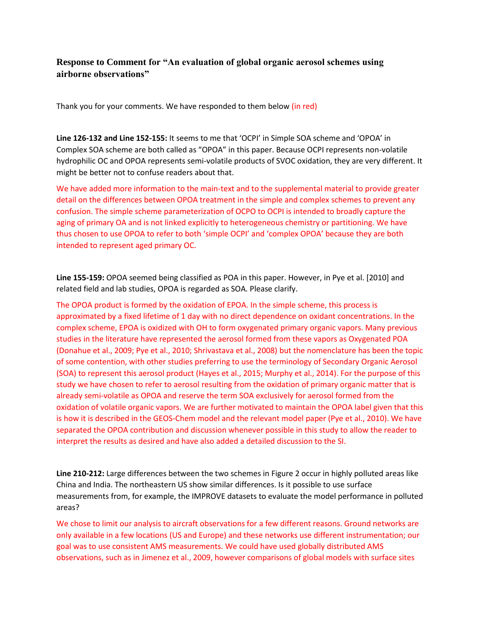## **Response to Comment for "An evaluation of global organic aerosol schemes using airborne observations"**

Thank you for your comments. We have responded to them below (in red)

**Line 126-132 and Line 152-155:** It seems to me that 'OCPI' in Simple SOA scheme and 'OPOA' in Complex SOA scheme are both called as "OPOA" in this paper. Because OCPI represents non-volatile hydrophilic OC and OPOA represents semi-volatile products of SVOC oxidation, they are very different. It might be better not to confuse readers about that.

We have added more information to the main-text and to the supplemental material to provide greater detail on the differences between OPOA treatment in the simple and complex schemes to prevent any confusion. The simple scheme parameterization of OCPO to OCPI is intended to broadly capture the aging of primary OA and is not linked explicitly to heterogeneous chemistry or partitioning. We have thus chosen to use OPOA to refer to both 'simple OCPI' and 'complex OPOA' because they are both intended to represent aged primary OC.

**Line 155-159:** OPOA seemed being classified as POA in this paper. However, in Pye et al. [2010] and related field and lab studies, OPOA is regarded as SOA. Please clarify.

The OPOA product is formed by the oxidation of EPOA. In the simple scheme, this process is approximated by a fixed lifetime of 1 day with no direct dependence on oxidant concentrations. In the complex scheme, EPOA is oxidized with OH to form oxygenated primary organic vapors. Many previous studies in the literature have represented the aerosol formed from these vapors as Oxygenated POA (Donahue et al., 2009; Pye et al., 2010; Shrivastava et al., 2008) but the nomenclature has been the topic of some contention, with other studies preferring to use the terminology of Secondary Organic Aerosol (SOA) to represent this aerosol product (Hayes et al., 2015; Murphy et al., 2014). For the purpose of this study we have chosen to refer to aerosol resulting from the oxidation of primary organic matter that is already semi-volatile as OPOA and reserve the term SOA exclusively for aerosol formed from the oxidation of volatile organic vapors. We are further motivated to maintain the OPOA label given that this is how it is described in the GEOS-Chem model and the relevant model paper (Pye et al., 2010). We have separated the OPOA contribution and discussion whenever possible in this study to allow the reader to interpret the results as desired and have also added a detailed discussion to the SI.

**Line 210-212:** Large differences between the two schemes in Figure 2 occur in highly polluted areas like China and India. The northeastern US show similar differences. Is it possible to use surface measurements from, for example, the IMPROVE datasets to evaluate the model performance in polluted areas?

We chose to limit our analysis to aircraft observations for a few different reasons. Ground networks are only available in a few locations (US and Europe) and these networks use different instrumentation; our goal was to use consistent AMS measurements. We could have used globally distributed AMS observations, such as in Jimenez et al., 2009, however comparisons of global models with surface sites